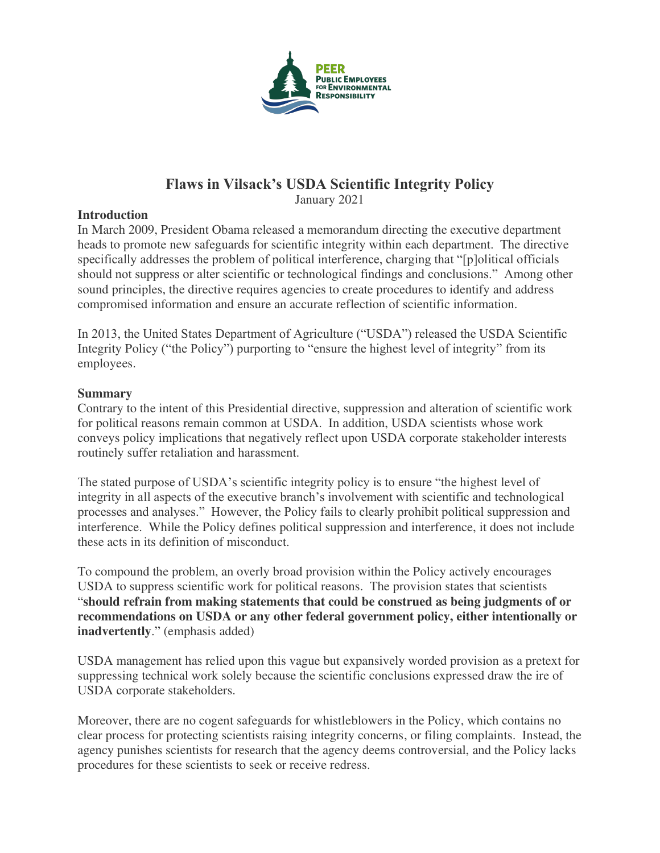

# **Flaws in Vilsack's USDA Scientific Integrity Policy**

January 2021

### **Introduction**

In March 2009, President Obama released a memorandum directing the executive department heads to promote new safeguards for scientific integrity within each department. The directive specifically addresses the problem of political interference, charging that "[p]olitical officials should not suppress or alter scientific or technological findings and conclusions." Among other sound principles, the directive requires agencies to create procedures to identify and address compromised information and ensure an accurate reflection of scientific information.

In 2013, the United States Department of Agriculture ("USDA") released the USDA Scientific Integrity Policy ("the Policy") purporting to "ensure the highest level of integrity" from its employees.

### **Summary**

Contrary to the intent of this Presidential directive, suppression and alteration of scientific work for political reasons remain common at USDA. In addition, USDA scientists whose work conveys policy implications that negatively reflect upon USDA corporate stakeholder interests routinely suffer retaliation and harassment.

The stated purpose of USDA's scientific integrity policy is to ensure "the highest level of integrity in all aspects of the executive branch's involvement with scientific and technological processes and analyses." However, the Policy fails to clearly prohibit political suppression and interference. While the Policy defines political suppression and interference, it does not include these acts in its definition of misconduct.

To compound the problem, an overly broad provision within the Policy actively encourages USDA to suppress scientific work for political reasons. The provision states that scientists "**should refrain from making statements that could be construed as being judgments of or recommendations on USDA or any other federal government policy, either intentionally or inadvertently**." (emphasis added)

USDA management has relied upon this vague but expansively worded provision as a pretext for suppressing technical work solely because the scientific conclusions expressed draw the ire of USDA corporate stakeholders.

Moreover, there are no cogent safeguards for whistleblowers in the Policy, which contains no clear process for protecting scientists raising integrity concerns, or filing complaints. Instead, the agency punishes scientists for research that the agency deems controversial, and the Policy lacks procedures for these scientists to seek or receive redress.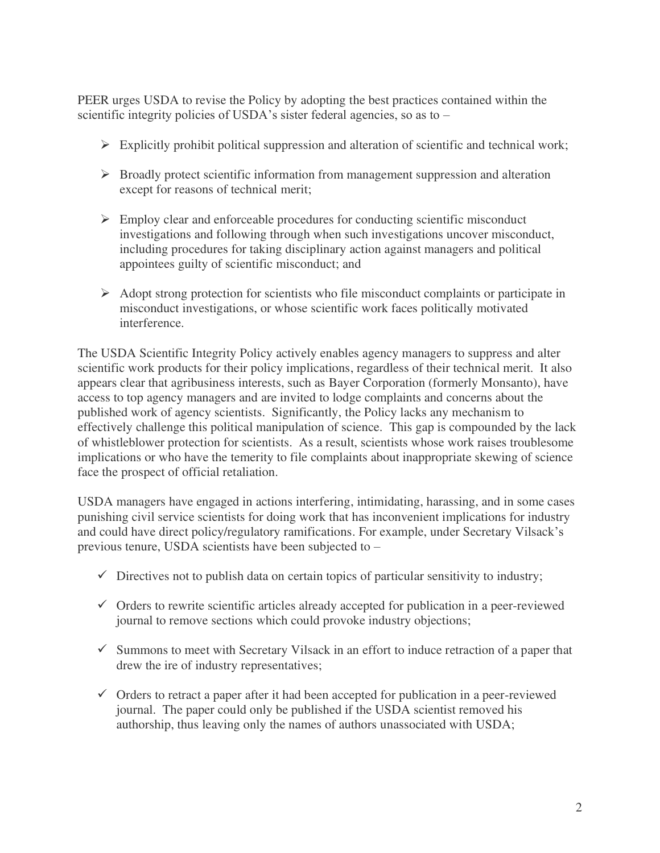PEER urges USDA to revise the Policy by adopting the best practices contained within the scientific integrity policies of USDA's sister federal agencies, so as to –

- $\triangleright$  Explicitly prohibit political suppression and alteration of scientific and technical work;
- $\triangleright$  Broadly protect scientific information from management suppression and alteration except for reasons of technical merit;
- $\triangleright$  Employ clear and enforceable procedures for conducting scientific misconduct investigations and following through when such investigations uncover misconduct, including procedures for taking disciplinary action against managers and political appointees guilty of scientific misconduct; and
- $\triangleright$  Adopt strong protection for scientists who file misconduct complaints or participate in misconduct investigations, or whose scientific work faces politically motivated interference.

The USDA Scientific Integrity Policy actively enables agency managers to suppress and alter scientific work products for their policy implications, regardless of their technical merit. It also appears clear that agribusiness interests, such as Bayer Corporation (formerly Monsanto), have access to top agency managers and are invited to lodge complaints and concerns about the published work of agency scientists. Significantly, the Policy lacks any mechanism to effectively challenge this political manipulation of science. This gap is compounded by the lack of whistleblower protection for scientists. As a result, scientists whose work raises troublesome implications or who have the temerity to file complaints about inappropriate skewing of science face the prospect of official retaliation.

USDA managers have engaged in actions interfering, intimidating, harassing, and in some cases punishing civil service scientists for doing work that has inconvenient implications for industry and could have direct policy/regulatory ramifications. For example, under Secretary Vilsack's previous tenure, USDA scientists have been subjected to –

- $\checkmark$  Directives not to publish data on certain topics of particular sensitivity to industry;
- $\checkmark$  Orders to rewrite scientific articles already accepted for publication in a peer-reviewed journal to remove sections which could provoke industry objections;
- $\checkmark$  Summons to meet with Secretary Vilsack in an effort to induce retraction of a paper that drew the ire of industry representatives;
- $\checkmark$  Orders to retract a paper after it had been accepted for publication in a peer-reviewed journal. The paper could only be published if the USDA scientist removed his authorship, thus leaving only the names of authors unassociated with USDA;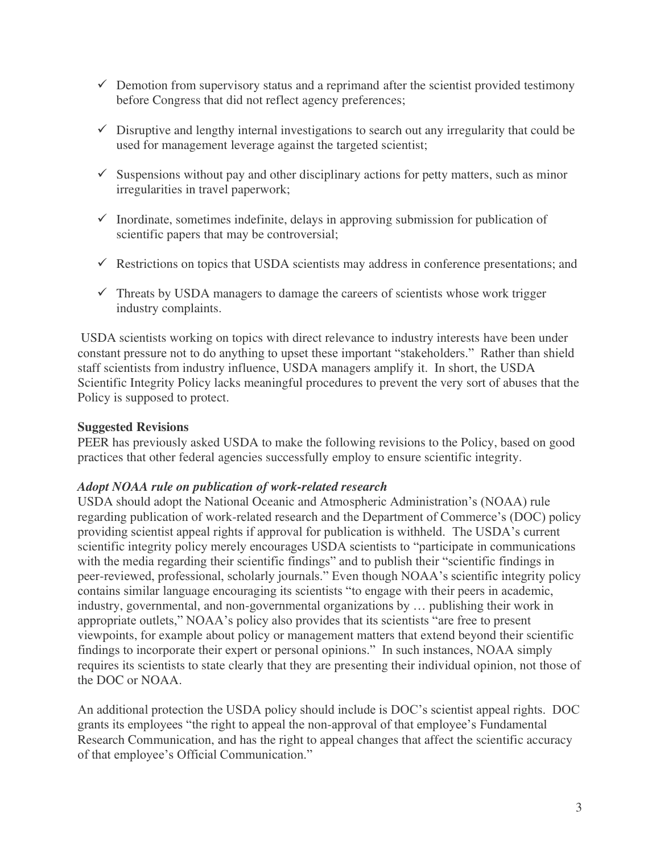- $\checkmark$  Demotion from supervisory status and a reprimand after the scientist provided testimony before Congress that did not reflect agency preferences;
- $\checkmark$  Disruptive and lengthy internal investigations to search out any irregularity that could be used for management leverage against the targeted scientist;
- $\checkmark$  Suspensions without pay and other disciplinary actions for petty matters, such as minor irregularities in travel paperwork;
- $\checkmark$  Inordinate, sometimes indefinite, delays in approving submission for publication of scientific papers that may be controversial;
- $\checkmark$  Restrictions on topics that USDA scientists may address in conference presentations; and
- $\checkmark$  Threats by USDA managers to damage the careers of scientists whose work trigger industry complaints.

 USDA scientists working on topics with direct relevance to industry interests have been under constant pressure not to do anything to upset these important "stakeholders." Rather than shield staff scientists from industry influence, USDA managers amplify it. In short, the USDA Scientific Integrity Policy lacks meaningful procedures to prevent the very sort of abuses that the Policy is supposed to protect.

#### **Suggested Revisions**

PEER has previously asked USDA to make the following revisions to the Policy, based on good practices that other federal agencies successfully employ to ensure scientific integrity.

#### *Adopt NOAA rule on publication of work-related research*

USDA should adopt the National Oceanic and Atmospheric Administration's (NOAA) rule regarding publication of work-related research and the Department of Commerce's (DOC) policy providing scientist appeal rights if approval for publication is withheld. The USDA's current scientific integrity policy merely encourages USDA scientists to "participate in communications with the media regarding their scientific findings" and to publish their "scientific findings in peer-reviewed, professional, scholarly journals." Even though NOAA's scientific integrity policy contains similar language encouraging its scientists "to engage with their peers in academic, industry, governmental, and non-governmental organizations by … publishing their work in appropriate outlets," NOAA's policy also provides that its scientists "are free to present viewpoints, for example about policy or management matters that extend beyond their scientific findings to incorporate their expert or personal opinions." In such instances, NOAA simply requires its scientists to state clearly that they are presenting their individual opinion, not those of the DOC or NOAA.

An additional protection the USDA policy should include is DOC's scientist appeal rights. DOC grants its employees "the right to appeal the non-approval of that employee's Fundamental Research Communication, and has the right to appeal changes that affect the scientific accuracy of that employee's Official Communication."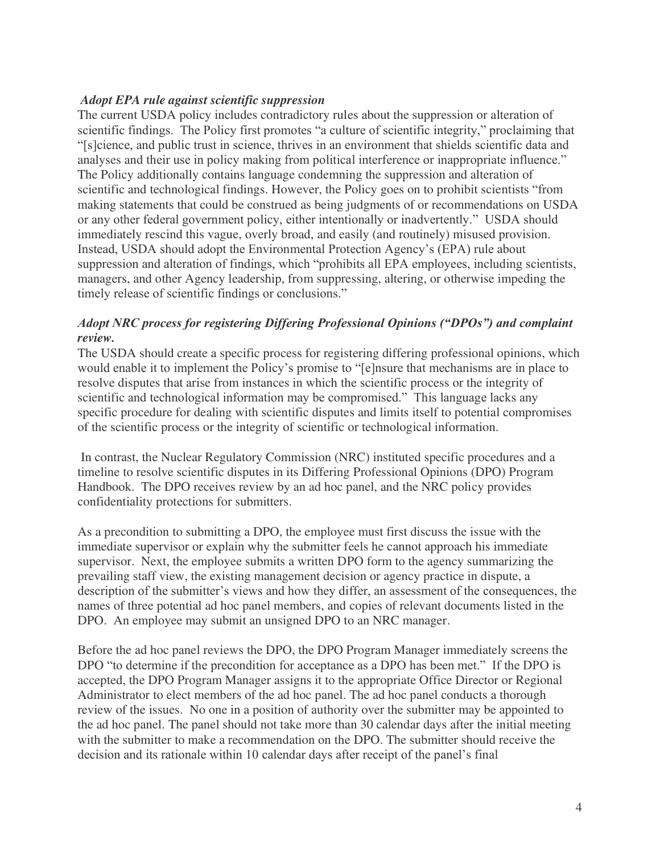### *Adopt EPA rule against scientific suppression*

The current USDA policy includes contradictory rules about the suppression or alteration of scientific findings. The Policy first promotes "a culture of scientific integrity," proclaiming that "[s]cience, and public trust in science, thrives in an environment that shields scientific data and analyses and their use in policy making from political interference or inappropriate influence." The Policy additionally contains language condemning the suppression and alteration of scientific and technological findings. However, the Policy goes on to prohibit scientists "from making statements that could be construed as being judgments of or recommendations on USDA or any other federal government policy, either intentionally or inadvertently." USDA should immediately rescind this vague, overly broad, and easily (and routinely) misused provision. Instead, USDA should adopt the Environmental Protection Agency's (EPA) rule about suppression and alteration of findings, which "prohibits all EPA employees, including scientists, managers, and other Agency leadership, from suppressing, altering, or otherwise impeding the timely release of scientific findings or conclusions."

## *Adopt NRC process for registering Differing Professional Opinions ("DPOs") and complaint review.*

The USDA should create a specific process for registering differing professional opinions, which would enable it to implement the Policy's promise to "[e]nsure that mechanisms are in place to resolve disputes that arise from instances in which the scientific process or the integrity of scientific and technological information may be compromised." This language lacks any specific procedure for dealing with scientific disputes and limits itself to potential compromises of the scientific process or the integrity of scientific or technological information.

 In contrast, the Nuclear Regulatory Commission (NRC) instituted specific procedures and a timeline to resolve scientific disputes in its Differing Professional Opinions (DPO) Program Handbook. The DPO receives review by an ad hoc panel, and the NRC policy provides confidentiality protections for submitters.

As a precondition to submitting a DPO, the employee must first discuss the issue with the immediate supervisor or explain why the submitter feels he cannot approach his immediate supervisor. Next, the employee submits a written DPO form to the agency summarizing the prevailing staff view, the existing management decision or agency practice in dispute, a description of the submitter's views and how they differ, an assessment of the consequences, the names of three potential ad hoc panel members, and copies of relevant documents listed in the DPO. An employee may submit an unsigned DPO to an NRC manager.

Before the ad hoc panel reviews the DPO, the DPO Program Manager immediately screens the DPO "to determine if the precondition for acceptance as a DPO has been met." If the DPO is accepted, the DPO Program Manager assigns it to the appropriate Office Director or Regional Administrator to elect members of the ad hoc panel. The ad hoc panel conducts a thorough review of the issues. No one in a position of authority over the submitter may be appointed to the ad hoc panel. The panel should not take more than 30 calendar days after the initial meeting with the submitter to make a recommendation on the DPO. The submitter should receive the decision and its rationale within 10 calendar days after receipt of the panel's final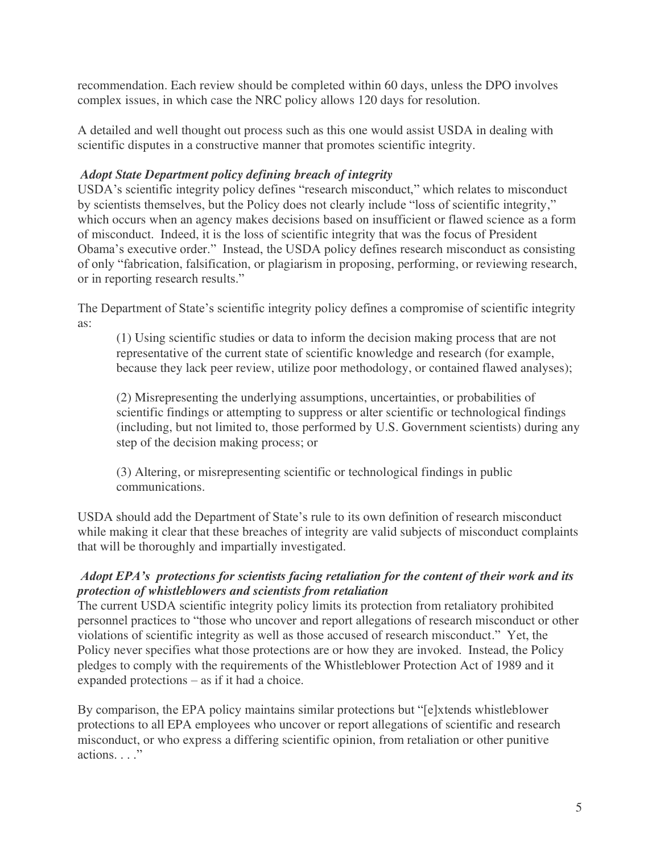recommendation. Each review should be completed within 60 days, unless the DPO involves complex issues, in which case the NRC policy allows 120 days for resolution.

A detailed and well thought out process such as this one would assist USDA in dealing with scientific disputes in a constructive manner that promotes scientific integrity.

## *Adopt State Department policy defining breach of integrity*

USDA's scientific integrity policy defines "research misconduct," which relates to misconduct by scientists themselves, but the Policy does not clearly include "loss of scientific integrity," which occurs when an agency makes decisions based on insufficient or flawed science as a form of misconduct. Indeed, it is the loss of scientific integrity that was the focus of President Obama's executive order." Instead, the USDA policy defines research misconduct as consisting of only "fabrication, falsification, or plagiarism in proposing, performing, or reviewing research, or in reporting research results."

The Department of State's scientific integrity policy defines a compromise of scientific integrity as:

(1) Using scientific studies or data to inform the decision making process that are not representative of the current state of scientific knowledge and research (for example, because they lack peer review, utilize poor methodology, or contained flawed analyses);

(2) Misrepresenting the underlying assumptions, uncertainties, or probabilities of scientific findings or attempting to suppress or alter scientific or technological findings (including, but not limited to, those performed by U.S. Government scientists) during any step of the decision making process; or

(3) Altering, or misrepresenting scientific or technological findings in public communications.

USDA should add the Department of State's rule to its own definition of research misconduct while making it clear that these breaches of integrity are valid subjects of misconduct complaints that will be thoroughly and impartially investigated.

## *Adopt EPA's protections for scientists facing retaliation for the content of their work and its protection of whistleblowers and scientists from retaliation*

The current USDA scientific integrity policy limits its protection from retaliatory prohibited personnel practices to "those who uncover and report allegations of research misconduct or other violations of scientific integrity as well as those accused of research misconduct." Yet, the Policy never specifies what those protections are or how they are invoked. Instead, the Policy pledges to comply with the requirements of the Whistleblower Protection Act of 1989 and it expanded protections – as if it had a choice.

By comparison, the EPA policy maintains similar protections but "[e]xtends whistleblower protections to all EPA employees who uncover or report allegations of scientific and research misconduct, or who express a differing scientific opinion, from retaliation or other punitive actions. . . . . "